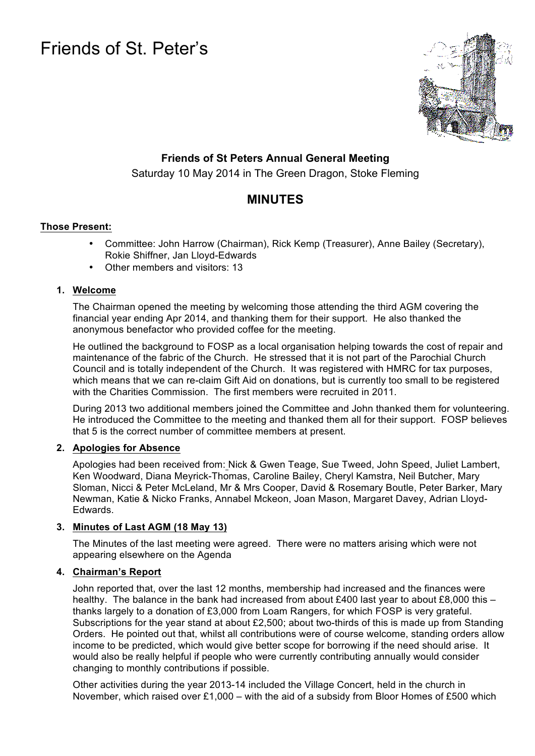# Friends of St. Peter's



## **Friends of St Peters Annual General Meeting**

Saturday 10 May 2014 in The Green Dragon, Stoke Fleming

# **MINUTES**

### **Those Present:**

- Committee: John Harrow (Chairman), Rick Kemp (Treasurer), Anne Bailey (Secretary), Rokie Shiffner, Jan Lloyd-Edwards
- Other members and visitors: 13

#### **1. Welcome**

The Chairman opened the meeting by welcoming those attending the third AGM covering the financial year ending Apr 2014, and thanking them for their support. He also thanked the anonymous benefactor who provided coffee for the meeting.

He outlined the background to FOSP as a local organisation helping towards the cost of repair and maintenance of the fabric of the Church. He stressed that it is not part of the Parochial Church Council and is totally independent of the Church. It was registered with HMRC for tax purposes, which means that we can re-claim Gift Aid on donations, but is currently too small to be registered with the Charities Commission. The first members were recruited in 2011.

During 2013 two additional members joined the Committee and John thanked them for volunteering. He introduced the Committee to the meeting and thanked them all for their support. FOSP believes that 5 is the correct number of committee members at present.

#### **2. Apologies for Absence**

Apologies had been received from: Nick & Gwen Teage, Sue Tweed, John Speed, Juliet Lambert, Ken Woodward, Diana Meyrick-Thomas, Caroline Bailey, Cheryl Kamstra, Neil Butcher, Mary Sloman, Nicci & Peter McLeland, Mr & Mrs Cooper, David & Rosemary Boutle, Peter Barker, Mary Newman, Katie & Nicko Franks, Annabel Mckeon, Joan Mason, Margaret Davey, Adrian Lloyd-Edwards.

#### **3. Minutes of Last AGM (18 May 13)**

The Minutes of the last meeting were agreed. There were no matters arising which were not appearing elsewhere on the Agenda

#### **4. Chairman's Report**

John reported that, over the last 12 months, membership had increased and the finances were healthy. The balance in the bank had increased from about £400 last year to about £8,000 this – thanks largely to a donation of £3,000 from Loam Rangers, for which FOSP is very grateful. Subscriptions for the year stand at about £2,500; about two-thirds of this is made up from Standing Orders. He pointed out that, whilst all contributions were of course welcome, standing orders allow income to be predicted, which would give better scope for borrowing if the need should arise. It would also be really helpful if people who were currently contributing annually would consider changing to monthly contributions if possible.

Other activities during the year 2013-14 included the Village Concert, held in the church in November, which raised over £1,000 – with the aid of a subsidy from Bloor Homes of £500 which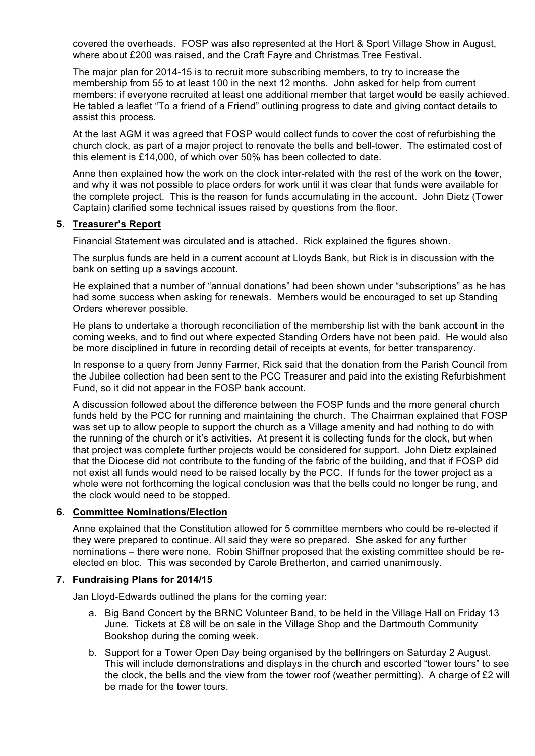covered the overheads. FOSP was also represented at the Hort & Sport Village Show in August, where about £200 was raised, and the Craft Fayre and Christmas Tree Festival.

The major plan for 2014-15 is to recruit more subscribing members, to try to increase the membership from 55 to at least 100 in the next 12 months. John asked for help from current members: if everyone recruited at least one additional member that target would be easily achieved. He tabled a leaflet "To a friend of a Friend" outlining progress to date and giving contact details to assist this process.

At the last AGM it was agreed that FOSP would collect funds to cover the cost of refurbishing the church clock, as part of a major project to renovate the bells and bell-tower. The estimated cost of this element is £14,000, of which over 50% has been collected to date.

Anne then explained how the work on the clock inter-related with the rest of the work on the tower, and why it was not possible to place orders for work until it was clear that funds were available for the complete project. This is the reason for funds accumulating in the account. John Dietz (Tower Captain) clarified some technical issues raised by questions from the floor.

#### **5. Treasurer's Report**

Financial Statement was circulated and is attached. Rick explained the figures shown.

The surplus funds are held in a current account at Lloyds Bank, but Rick is in discussion with the bank on setting up a savings account.

He explained that a number of "annual donations" had been shown under "subscriptions" as he has had some success when asking for renewals. Members would be encouraged to set up Standing Orders wherever possible.

He plans to undertake a thorough reconciliation of the membership list with the bank account in the coming weeks, and to find out where expected Standing Orders have not been paid. He would also be more disciplined in future in recording detail of receipts at events, for better transparency.

In response to a query from Jenny Farmer, Rick said that the donation from the Parish Council from the Jubilee collection had been sent to the PCC Treasurer and paid into the existing Refurbishment Fund, so it did not appear in the FOSP bank account.

A discussion followed about the difference between the FOSP funds and the more general church funds held by the PCC for running and maintaining the church. The Chairman explained that FOSP was set up to allow people to support the church as a Village amenity and had nothing to do with the running of the church or it's activities. At present it is collecting funds for the clock, but when that project was complete further projects would be considered for support. John Dietz explained that the Diocese did not contribute to the funding of the fabric of the building, and that if FOSP did not exist all funds would need to be raised locally by the PCC. If funds for the tower project as a whole were not forthcoming the logical conclusion was that the bells could no longer be rung, and the clock would need to be stopped.

#### **6. Committee Nominations/Election**

Anne explained that the Constitution allowed for 5 committee members who could be re-elected if they were prepared to continue. All said they were so prepared. She asked for any further nominations – there were none. Robin Shiffner proposed that the existing committee should be reelected en bloc. This was seconded by Carole Bretherton, and carried unanimously.

#### **7. Fundraising Plans for 2014/15**

Jan Lloyd-Edwards outlined the plans for the coming year:

- a. Big Band Concert by the BRNC Volunteer Band, to be held in the Village Hall on Friday 13 June. Tickets at £8 will be on sale in the Village Shop and the Dartmouth Community Bookshop during the coming week.
- b. Support for a Tower Open Day being organised by the bellringers on Saturday 2 August. This will include demonstrations and displays in the church and escorted "tower tours" to see the clock, the bells and the view from the tower roof (weather permitting). A charge of £2 will be made for the tower tours.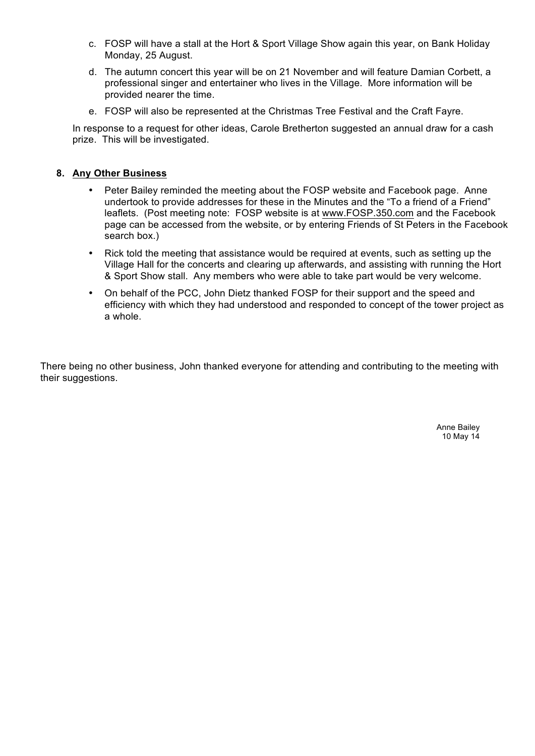- c. FOSP will have a stall at the Hort & Sport Village Show again this year, on Bank Holiday Monday, 25 August.
- d. The autumn concert this year will be on 21 November and will feature Damian Corbett, a professional singer and entertainer who lives in the Village. More information will be provided nearer the time.
- e. FOSP will also be represented at the Christmas Tree Festival and the Craft Fayre.

In response to a request for other ideas, Carole Bretherton suggested an annual draw for a cash prize. This will be investigated.

#### **8. Any Other Business**

- Peter Bailey reminded the meeting about the FOSP website and Facebook page. Anne undertook to provide addresses for these in the Minutes and the "To a friend of a Friend" leaflets. (Post meeting note: FOSP website is at www.FOSP.350.com and the Facebook page can be accessed from the website, or by entering Friends of St Peters in the Facebook search box.)
- Rick told the meeting that assistance would be required at events, such as setting up the Village Hall for the concerts and clearing up afterwards, and assisting with running the Hort & Sport Show stall. Any members who were able to take part would be very welcome.
- On behalf of the PCC, John Dietz thanked FOSP for their support and the speed and efficiency with which they had understood and responded to concept of the tower project as a whole.

There being no other business, John thanked everyone for attending and contributing to the meeting with their suggestions.

> Anne Bailey 10 May 14